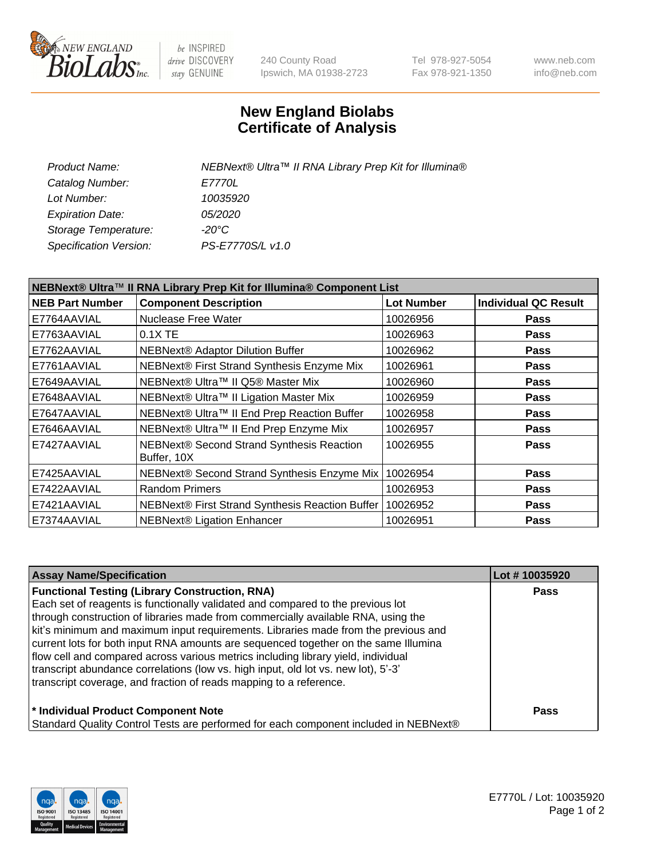

be INSPIRED drive DISCOVERY stay GENUINE

240 County Road Ipswich, MA 01938-2723 Tel 978-927-5054 Fax 978-921-1350 www.neb.com info@neb.com

## **New England Biolabs Certificate of Analysis**

| Product Name:           | NEBNext® Ultra™ II RNA Library Prep Kit for Illumina® |
|-------------------------|-------------------------------------------------------|
| Catalog Number:         | <i>E7770L</i>                                         |
| Lot Number:             | 10035920                                              |
| <b>Expiration Date:</b> | <i>05/2020</i>                                        |
| Storage Temperature:    | -20°C                                                 |
| Specification Version:  | PS-E7770S/L v1.0                                      |
|                         |                                                       |

| NEBNext® Ultra™ II RNA Library Prep Kit for Illumina® Component List |                                                          |                   |                             |  |  |
|----------------------------------------------------------------------|----------------------------------------------------------|-------------------|-----------------------------|--|--|
| <b>NEB Part Number</b>                                               | <b>Component Description</b>                             | <b>Lot Number</b> | <b>Individual QC Result</b> |  |  |
| E7764AAVIAL                                                          | <b>Nuclease Free Water</b>                               | 10026956          | <b>Pass</b>                 |  |  |
| E7763AAVIAL                                                          | 0.1X TE                                                  | 10026963          | <b>Pass</b>                 |  |  |
| E7762AAVIAL                                                          | NEBNext® Adaptor Dilution Buffer                         | 10026962          | <b>Pass</b>                 |  |  |
| E7761AAVIAL                                                          | NEBNext® First Strand Synthesis Enzyme Mix               | 10026961          | <b>Pass</b>                 |  |  |
| E7649AAVIAL                                                          | NEBNext® Ultra™ II Q5® Master Mix                        | 10026960          | <b>Pass</b>                 |  |  |
| E7648AAVIAL                                                          | NEBNext® Ultra™ II Ligation Master Mix                   | 10026959          | <b>Pass</b>                 |  |  |
| E7647AAVIAL                                                          | NEBNext® Ultra™ II End Prep Reaction Buffer              | 10026958          | <b>Pass</b>                 |  |  |
| E7646AAVIAL                                                          | NEBNext® Ultra™ II End Prep Enzyme Mix                   | 10026957          | Pass                        |  |  |
| E7427AAVIAL                                                          | NEBNext® Second Strand Synthesis Reaction<br>Buffer, 10X | 10026955          | <b>Pass</b>                 |  |  |
| E7425AAVIAL                                                          | NEBNext® Second Strand Synthesis Enzyme Mix              | 10026954          | <b>Pass</b>                 |  |  |
| E7422AAVIAL                                                          | <b>Random Primers</b>                                    | 10026953          | <b>Pass</b>                 |  |  |
| E7421AAVIAL                                                          | NEBNext® First Strand Synthesis Reaction Buffer          | 10026952          | <b>Pass</b>                 |  |  |
| E7374AAVIAL                                                          | <b>NEBNext® Ligation Enhancer</b>                        | 10026951          | <b>Pass</b>                 |  |  |

| <b>Assay Name/Specification</b>                                                      | Lot #10035920 |
|--------------------------------------------------------------------------------------|---------------|
| <b>Functional Testing (Library Construction, RNA)</b>                                | <b>Pass</b>   |
| Each set of reagents is functionally validated and compared to the previous lot      |               |
| through construction of libraries made from commercially available RNA, using the    |               |
| kit's minimum and maximum input requirements. Libraries made from the previous and   |               |
| current lots for both input RNA amounts are sequenced together on the same Illumina  |               |
| flow cell and compared across various metrics including library yield, individual    |               |
| transcript abundance correlations (low vs. high input, old lot vs. new lot), 5'-3'   |               |
| transcript coverage, and fraction of reads mapping to a reference.                   |               |
| * Individual Product Component Note                                                  | Pass          |
| Standard Quality Control Tests are performed for each component included in NEBNext® |               |